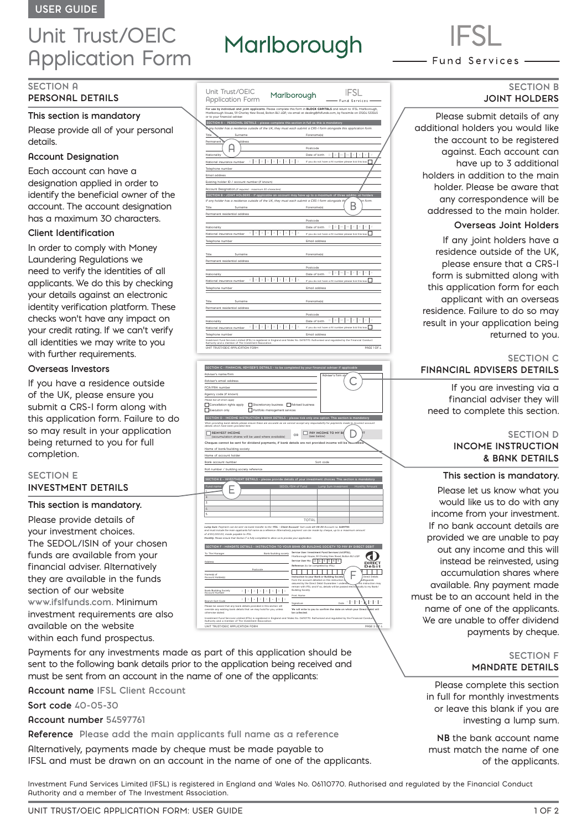# Unit Trust/OEIC Application Form

# **SECTION A**

# **PERSONAL DETAILS**

# **This section is mandatory**

Please provide all of your personal details.

## **Account Designation**

Each account can have a designation applied in order to identify the beneficial owner of the account. The account designation has a maximum 30 characters.

# **Client Identification**

In order to comply with Money Laundering Regulations we need to verify the identities of all applicants. We do this by checking your details against an electronic identity verification platform. These checks won't have any impact on your credit rating. If we can't verify all identities we may write to you with further requirements.

# **Overseas Investors**

If you have a residence outside of the UK, please ensure you submit a CRS-I form along with this application form. Failure to do so may result in your application being returned to you for full completion.

# **SECTION E INVESTMENT DETAILS**

### **This section is mandatory.**

Please provide details of your investment choices. The SEDOL/ISIN of your chosen funds are available from your financial adviser. Alternatively they are available in the funds section of our website **www.ifslfunds.com.** Minimum investment requirements are also available on the website within each fund prospectus.

Payments for any investments made as part of this application should be sent to the following bank details prior to the application being received and must be sent from an account in the name of one of the applicants:

**Account name IFSL Client Account**

**Sort code 40-05-30** 

**Account number 54597761**

**Reference Please add the main applicants full name as a reference**

Alternatively, payments made by cheque must be made payable to IFSL and must be drawn on an account in the name of one of the applicants.

Unit Trust/OEIC **IFSL** Marlborough Application Form und Servic For use by individual and joint applicants. Please complete this form in **BLOCK CAPITALS** and return to: IFSL Marlborough,<br>Marlborough House, 59 Chorley New Road, Bolton BL1 *I*.QP, via email at dealing@ifsifunds.com, by f or to your financial adviser.  **SECTION A - PERSONAL DETAILS – please complete this section in full as this is mandatory** *If any holder has a residence outside of the UK, they must each submit a CRS-I form alongside this application form.*  Title Surname Surname Forename(s)  $\Omega$ Postcode Nationality Date of birth **D D M M Y Y Y Y** National insurance number  $X \mid X \mid X \mid X \mid X \mid X \mid X \mid X \mid X$  **If** you do not have a NI number please tick this box Telephone number Email address Existing holder ID / account number (if known) Account Designation *(if required - maximum 30 characters)* **SECTION B - JOINT HOLDERS - if applicable an account may have up to a maximum of three additional holders** *If any holder has a residence outside of the UK, they must each submit a CRS-I form alongside thi*s application form. Title Surname Forename(s) Permanent residential address Postcode **D D M M Y Y Y Y** Nationality **Date of birth**  $\frac{1}{2}$   $\frac{1}{2}$   $\frac{1}{2}$   $\frac{1}{2}$   $\frac{1}{2}$   $\frac{1}{2}$   $\frac{1}{2}$   $\frac{1}{2}$   $\frac{1}{2}$   $\frac{1}{2}$   $\frac{1}{2}$   $\frac{1}{2}$   $\frac{1}{2}$   $\frac{1}{2}$   $\frac{1}{2}$   $\frac{1}{2}$   $\frac{1}{2}$   $\frac{1}{2}$   $\frac{1}{2}$   $\frac{$ Telephone number Email address Title Surname Forename(s) Permanent residential address Postcode **D D M M Y Y Y Y** Nationality Date of birth **X X X X X X X X X** National insurance number If you do not have a NI number please tick this box Telephone number **Email address** Title Surname Forename(s) Permanent residential address Postcode **D D M M Y Y Y Y** Nationality Date of birth National insurance number If you do not have a NI number please tick this box **X X X X X X X X X** Telephone number Email address Investment Fund Services Limited (IFSL) is registered in England and Wales No. 06110770. Authorised and regulated by the Financial Conduct Authority and a member of The Investment Association. UNIT TRUST/OEIC APPLICATION FORM **PAGE 1 OF 4** PAGE 1 OF 4

Marlborough

| SECTION C - FINANCIAL ADVISER'S DETAILS - to be completed by your financial adviser if applicable                                                                                                                                                             |                                                                                                                                                            |  |
|---------------------------------------------------------------------------------------------------------------------------------------------------------------------------------------------------------------------------------------------------------------|------------------------------------------------------------------------------------------------------------------------------------------------------------|--|
| Adviser's name/firm                                                                                                                                                                                                                                           | <b>Rdviser's firm st</b>                                                                                                                                   |  |
| Adviser's email address                                                                                                                                                                                                                                       |                                                                                                                                                            |  |
| FCA/FRN number                                                                                                                                                                                                                                                |                                                                                                                                                            |  |
| Agency code (if known)                                                                                                                                                                                                                                        |                                                                                                                                                            |  |
| Please tick all which apply                                                                                                                                                                                                                                   |                                                                                                                                                            |  |
| Discretionary business <b>Reduced business</b><br>Cancellation rights apply                                                                                                                                                                                   |                                                                                                                                                            |  |
| Execution only<br>Portfolio management services                                                                                                                                                                                                               |                                                                                                                                                            |  |
| SECTION D - INCOME INSTRUCTION & BANK DETAILS - please tick only one option. This section is mandatory                                                                                                                                                        |                                                                                                                                                            |  |
| When providing bank details please ensure these are accurate as we cannot accept any responsibility for payments made to incorrect account<br>details which have been provided here.                                                                          |                                                                                                                                                            |  |
| <b>REINVEST INCOME</b><br>(accumulation shares will be used where available)                                                                                                                                                                                  | PAY INCOME TO MY BR<br>OD<br>(see below)                                                                                                                   |  |
| Cheques cannot be sent for dividend payments, if bank details are not provided income will be remvested.                                                                                                                                                      |                                                                                                                                                            |  |
| Name of bank/building society                                                                                                                                                                                                                                 |                                                                                                                                                            |  |
| Name of account holder                                                                                                                                                                                                                                        |                                                                                                                                                            |  |
| Bank account number                                                                                                                                                                                                                                           | Sort code                                                                                                                                                  |  |
| Roll number / building society reference                                                                                                                                                                                                                      |                                                                                                                                                            |  |
|                                                                                                                                                                                                                                                               |                                                                                                                                                            |  |
| SECTION E - INVESTMENT DETAILS - please provide details of your investment choices. This section is mandatory                                                                                                                                                 |                                                                                                                                                            |  |
| Fund name                                                                                                                                                                                                                                                     | SEDOL/ISIN of Fund<br>Lump Sum Investment<br>Monthly Amount                                                                                                |  |
|                                                                                                                                                                                                                                                               |                                                                                                                                                            |  |
| $\overline{2}$                                                                                                                                                                                                                                                |                                                                                                                                                            |  |
| $\overline{\mathbf{z}}$<br>$\mathcal{L}$                                                                                                                                                                                                                      |                                                                                                                                                            |  |
| 5.                                                                                                                                                                                                                                                            |                                                                                                                                                            |  |
|                                                                                                                                                                                                                                                               | <b>TOTAL</b>                                                                                                                                               |  |
|                                                                                                                                                                                                                                                               |                                                                                                                                                            |  |
| Lump Sum: Payment can be sent via bank transfer to the 'IFSL - Client Account' Sort code 40-05-30 Account no. 54597761.<br>and must include the main applicants full name as a reference. Alternatively payment can be made by cheque, up to a maximum amount |                                                                                                                                                            |  |
| of £100,000.00, made payable to IFSL.<br>Monthly: Please ensure that Section F is fully completed to allow us to process your application.                                                                                                                    |                                                                                                                                                            |  |
|                                                                                                                                                                                                                                                               |                                                                                                                                                            |  |
| SECTION F - MANDATE DETAILS - INSTRUCTION TO YOUR BANK OR BUILDING SOCIETY TO PAY BY DIRECT DEBIT                                                                                                                                                             |                                                                                                                                                            |  |
| Bank/building society<br>To: The Manager                                                                                                                                                                                                                      | Service User: Investment Fund Services Ltd (IFSL),<br>Marlborough House, 59 Chorley New Road, Bolton BL1 4QP                                               |  |
| <b>Address</b>                                                                                                                                                                                                                                                | Service User No: 2<br>L.<br>6<br>s<br>6<br>6                                                                                                               |  |
| Postcode                                                                                                                                                                                                                                                      | Reference: (to be completed by IFSL)<br>Deb                                                                                                                |  |
| Newner's of                                                                                                                                                                                                                                                   |                                                                                                                                                            |  |
| Account Holder(s)                                                                                                                                                                                                                                             | <b>Direct Debits</b><br>Instruction to your Bank or Building Society<br>from the account detailed on this instruction<br>dreguards                         |  |
|                                                                                                                                                                                                                                                               | assured by the Direct Debit Guarantee. I understa<br>this instruction may<br>remain with IFSL and if so, details will be passed electrowically to my Bank/ |  |
| $\mathbb{X} \left[ \begin{array}{c c} \mathbb{X} & \mathbb{X} & \mathbb{X} \end{array} \right] \times \left[ \begin{array}{c c} \mathbb{X} & \mathbb{X} & \mathbb{X} \end{array} \right] \times$<br>Bank/Building Society<br><b>Account Number</b>            | <b>Building Society.</b>                                                                                                                                   |  |
| $x \cdot x$ $\times x$ $\times x$<br>×.                                                                                                                                                                                                                       | Print Name                                                                                                                                                 |  |
| Branch Sort Code                                                                                                                                                                                                                                              | $D$ $D$ $M$ $N$<br>ŀ۲<br>Dote<br>Signature                                                                                                                 |  |
| Please be aware that any bank details provided in this section will<br>override any existing bank details that we may hold for you, unless<br>otherwise stated.                                                                                               | We will write to you to confirm the date on which your Direct Bebit will<br>he collected                                                                   |  |
|                                                                                                                                                                                                                                                               |                                                                                                                                                            |  |
| Investment Fund Services Limited (IFSL) is registered in England and Wales No. 06110770. Authorised and regulated by the Financial Conduc<br>Authority and a member of The Investment Association.                                                            |                                                                                                                                                            |  |

- Fund Services -

**SECTION B JOINT HOLDERS**

Please submit details of any additional holders you would like the account to be registered against. Each account can have up to 3 additional holders in addition to the main holder. Please be aware that any correspondence will be addressed to the main holder.

#### **Overseas Joint Holders**

If any joint holders have a residence outside of the UK, please ensure that a CRS-I form is submitted along with this application form for each applicant with an overseas residence. Failure to do so may result in your application being returned to you.

#### **SECTION C FINANCIAL ADVISERS DETAILS**

If you are investing via a financial adviser they will need to complete this section.

# **SECTION D INCOME INSTRUCTION & BANK DETAILS**

### **This section is mandatory.**

Please let us know what you would like us to do with any income from your investment. If no bank account details are provided we are unable to pay out any income and this will instead be reinvested, using accumulation shares where available. Any payment made must be to an account held in the name of one of the applicants. We are unable to offer dividend payments by cheque.

#### **SECTION F MANDATE DETAILS**

Please complete this section in full for monthly investments or leave this blank if you are investing a lump sum.

**NB** the bank account name must match the name of one of the applicants.

Investment Fund Services Limited (IFSL) is registered in England and Wales No. 06110770. Authorised and regulated by the Financial Conduct Authority and a member of The Investment Association.